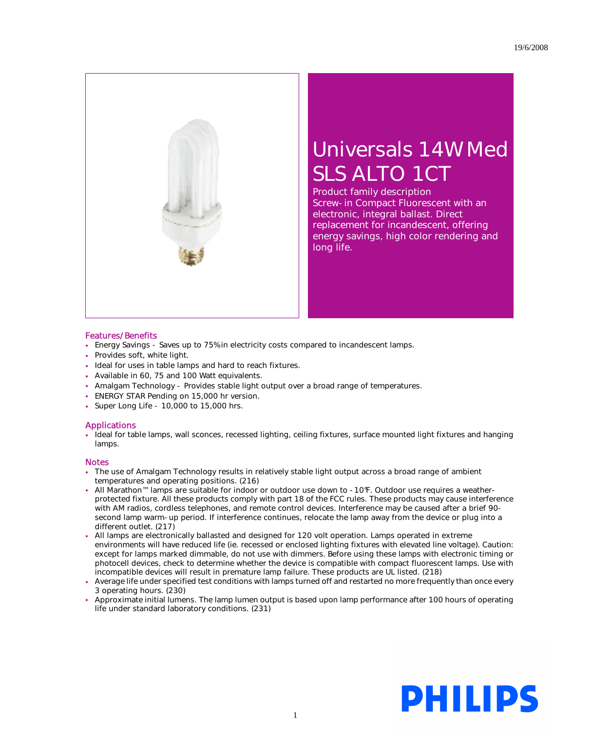

## Universals 14W Med SLS ALTO 1CT

Product family description Screw-in Compact Fluorescent with an electronic, integral ballast. Direct replacement for incandescent, offering energy savings, high color rendering and long life.

## Features/Benefits

- Energy Savings Saves up to 75% in electricity costs compared to incandescent lamps.
- Provides soft, white light.
- Ideal for uses in table lamps and hard to reach fixtures.
- Available in 60, 75 and 100 Watt equivalents.
- Amalgam Technology Provides stable light output over a broad range of temperatures.
- ENERGY STAR Pending on 15,000 hr version.
- Super Long Life 10,000 to 15,000 hrs.

## Applications

• Ideal for table lamps, wall sconces, recessed lighting, ceiling fixtures, surface mounted light fixtures and hanging lamps.

## Notes

- The use of Amalgam Technology results in relatively stable light output across a broad range of ambient temperatures and operating positions. (216)
- All Marathon™ lamps are suitable for indoor or outdoor use down to -10°F. Outdoor use requires a weatherprotected fixture. All these products comply with part 18 of the FCC rules. These products may cause interference with AM radios, cordless telephones, and remote control devices. Interference may be caused after a brief 90 second lamp warm-up period. If interference continues, relocate the lamp away from the device or plug into a different outlet. (217)
- All lamps are electronically ballasted and designed for 120 volt operation. Lamps operated in extreme environments will have reduced life (ie. recessed or enclosed lighting fixtures with elevated line voltage). Caution: except for lamps marked dimmable, do not use with dimmers. Before using these lamps with electronic timing or photocell devices, check to determine whether the device is compatible with compact fluorescent lamps. Use with incompatible devices will result in premature lamp failure. These products are UL listed. (218)
- Average life under specified test conditions with lamps turned off and restarted no more frequently than once every 3 operating hours. (230)
- Approximate initial lumens. The lamp lumen output is based upon lamp performance after 100 hours of operating life under standard laboratory conditions. (231)